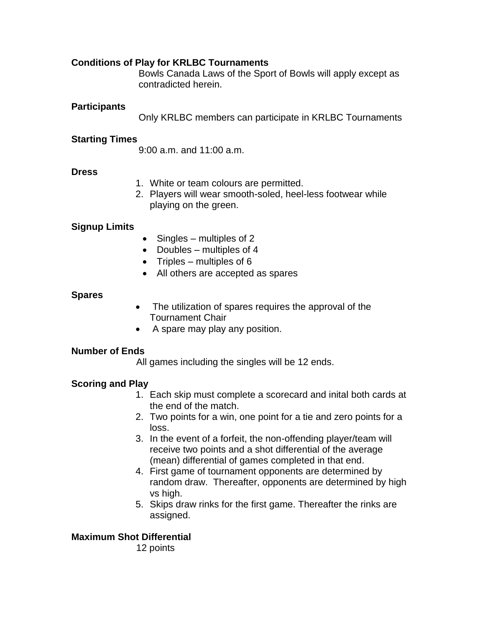# **Conditions of Play for KRLBC Tournaments**

Bowls Canada Laws of the Sport of Bowls will apply except as contradicted herein.

## **Participants**

Only KRLBC members can participate in KRLBC Tournaments

## **Starting Times**

9:00 a.m. and 11:00 a.m.

### **Dress**

- 1. White or team colours are permitted.
- 2. Players will wear smooth-soled, heel-less footwear while playing on the green.

## **Signup Limits**

- $\bullet$  Singles multiples of 2
- $\bullet$  Doubles multiples of 4
- $\bullet$  Triples multiples of 6
- All others are accepted as spares

### **Spares**

- The utilization of spares requires the approval of the Tournament Chair
- A spare may play any position.

### **Number of Ends**

All games including the singles will be 12 ends.

# **Scoring and Play**

- 1. Each skip must complete a scorecard and inital both cards at the end of the match.
- 2. Two points for a win, one point for a tie and zero points for a loss.
- 3. In the event of a forfeit, the non-offending player/team will receive two points and a shot differential of the average (mean) differential of games completed in that end.
- 4. First game of tournament opponents are determined by random draw. Thereafter, opponents are determined by high vs high.
- 5. Skips draw rinks for the first game. Thereafter the rinks are assigned.

# **Maximum Shot Differential**

12 points